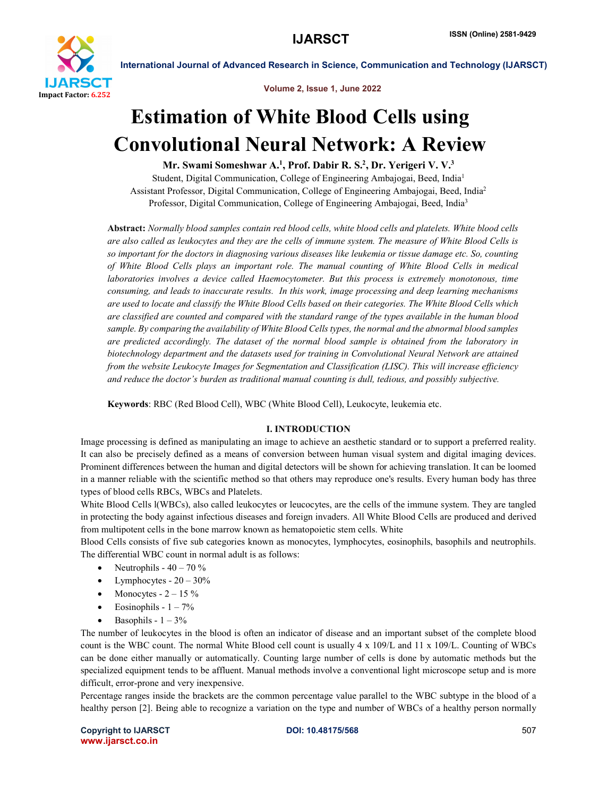

Volume 2, Issue 1, June 2022

International Journal of Advanced Research in Science, Communication and Technology (IJARSCT)

# Estimation of White Blood Cells using Convolutional Neural Network: A Review

Mr. Swami Someshwar A.<sup>1</sup>, Prof. Dabir R. S.<sup>2</sup>, Dr. Yerigeri V. V.<sup>3</sup>

Student, Digital Communication, College of Engineering Ambajogai, Beed, India1 Assistant Professor, Digital Communication, College of Engineering Ambajogai, Beed, India2 Professor, Digital Communication, College of Engineering Ambajogai, Beed, India3

Abstract: *Normally blood samples contain red blood cells, white blood cells and platelets. White blood cells are also called as leukocytes and they are the cells of immune system. The measure of White Blood Cells is so important for the doctors in diagnosing various diseases like leukemia or tissue damage etc. So, counting of White Blood Cells plays an important role. The manual counting of White Blood Cells in medical laboratories involves a device called Haemocytometer. But this process is extremely monotonous, time consuming, and leads to inaccurate results. In this work, image processing and deep learning mechanisms are used to locate and classify the White Blood Cells based on their categories. The White Blood Cells which are classified are counted and compared with the standard range of the types available in the human blood sample. By comparing the availability of White Blood Cells types, the normal and the abnormal blood samples are predicted accordingly. The dataset of the normal blood sample is obtained from the laboratory in biotechnology department and the datasets used for training in Convolutional Neural Network are attained from the website Leukocyte Images for Segmentation and Classification (LISC). This will increase efficiency and reduce the doctor's burden as traditional manual counting is dull, tedious, and possibly subjective.*

Keywords: RBC (Red Blood Cell), WBC (White Blood Cell), Leukocyte, leukemia etc.

## I. INTRODUCTION

Image processing is defined as manipulating an image to achieve an aesthetic standard or to support a preferred reality. It can also be precisely defined as a means of conversion between human visual system and digital imaging devices. Prominent differences between the human and digital detectors will be shown for achieving translation. It can be loomed in a manner reliable with the scientific method so that others may reproduce one's results. Every human body has three types of blood cells RBCs, WBCs and Platelets.

White Blood Cells l(WBCs), also called leukocytes or leucocytes, are the cells of the immune system. They are tangled in protecting the body against infectious diseases and foreign invaders. All White Blood Cells are produced and derived from multipotent cells in the bone marrow known as hematopoietic stem cells. White

Blood Cells consists of five sub categories known as monocytes, lymphocytes, eosinophils, basophils and neutrophils. The differential WBC count in normal adult is as follows:

- Neutrophils 40 70 %
- Lymphocytes  $20 30\%$
- Monocytes  $-2 15\%$
- $\bullet$  Eosinophils  $1 7\%$
- $\bullet$  Basophils  $1 3\%$

The number of leukocytes in the blood is often an indicator of disease and an important subset of the complete blood count is the WBC count. The normal White Blood cell count is usually 4 x 109/L and 11 x 109/L. Counting of WBCs can be done either manually or automatically. Counting large number of cells is done by automatic methods but the specialized equipment tends to be affluent. Manual methods involve a conventional light microscope setup and is more difficult, error-prone and very inexpensive.

Percentage ranges inside the brackets are the common percentage value parallel to the WBC subtype in the blood of a healthy person [2]. Being able to recognize a variation on the type and number of WBCs of a healthy person normally

Copyright to IJARSCT **DOI: 10.48175/568** 507 www.ijarsct.co.in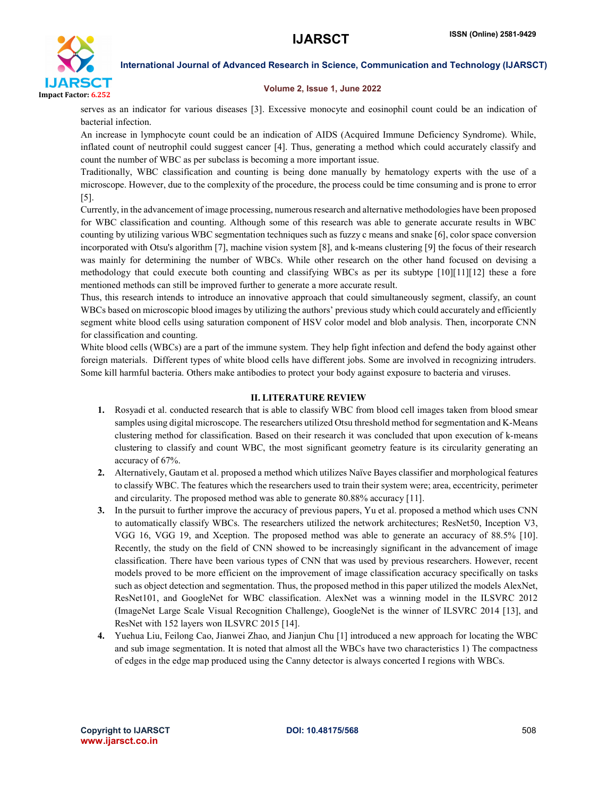

### Volume 2, Issue 1, June 2022

serves as an indicator for various diseases [3]. Excessive monocyte and eosinophil count could be an indication of bacterial infection.

An increase in lymphocyte count could be an indication of AIDS (Acquired Immune Deficiency Syndrome). While, inflated count of neutrophil could suggest cancer [4]. Thus, generating a method which could accurately classify and count the number of WBC as per subclass is becoming a more important issue.

Traditionally, WBC classification and counting is being done manually by hematology experts with the use of a microscope. However, due to the complexity of the procedure, the process could be time consuming and is prone to error [5].

Currently, in the advancement of image processing, numerous research and alternative methodologies have been proposed for WBC classification and counting. Although some of this research was able to generate accurate results in WBC counting by utilizing various WBC segmentation techniques such as fuzzy c means and snake [6], color space conversion incorporated with Otsu's algorithm [7], machine vision system [8], and k-means clustering [9] the focus of their research was mainly for determining the number of WBCs. While other research on the other hand focused on devising a methodology that could execute both counting and classifying WBCs as per its subtype [10][11][12] these a fore mentioned methods can still be improved further to generate a more accurate result.

Thus, this research intends to introduce an innovative approach that could simultaneously segment, classify, an count WBCs based on microscopic blood images by utilizing the authors' previous study which could accurately and efficiently segment white blood cells using saturation component of HSV color model and blob analysis. Then, incorporate CNN for classification and counting.

White blood cells (WBCs) are a part of the immune system. They help fight infection and defend the body against other foreign materials. Different types of white blood cells have different jobs. Some are involved in recognizing intruders. Some kill harmful bacteria. Others make antibodies to protect your body against exposure to bacteria and viruses.

### II. LITERATURE REVIEW

- 1. Rosyadi et al. conducted research that is able to classify WBC from blood cell images taken from blood smear samples using digital microscope. The researchers utilized Otsu threshold method for segmentation and K-Means clustering method for classification. Based on their research it was concluded that upon execution of k-means clustering to classify and count WBC, the most significant geometry feature is its circularity generating an accuracy of 67%.
- 2. Alternatively, Gautam et al. proposed a method which utilizes Naïve Bayes classifier and morphological features to classify WBC. The features which the researchers used to train their system were; area, eccentricity, perimeter and circularity. The proposed method was able to generate 80.88% accuracy [11].
- 3. In the pursuit to further improve the accuracy of previous papers, Yu et al. proposed a method which uses CNN to automatically classify WBCs. The researchers utilized the network architectures; ResNet50, Inception V3, VGG 16, VGG 19, and Xception. The proposed method was able to generate an accuracy of 88.5% [10]. Recently, the study on the field of CNN showed to be increasingly significant in the advancement of image classification. There have been various types of CNN that was used by previous researchers. However, recent models proved to be more efficient on the improvement of image classification accuracy specifically on tasks such as object detection and segmentation. Thus, the proposed method in this paper utilized the models AlexNet, ResNet101, and GoogleNet for WBC classification. AlexNet was a winning model in the ILSVRC 2012 (ImageNet Large Scale Visual Recognition Challenge), GoogleNet is the winner of ILSVRC 2014 [13], and ResNet with 152 layers won ILSVRC 2015 [14].
- 4. Yuehua Liu, Feilong Cao, Jianwei Zhao, and Jianjun Chu [1] introduced a new approach for locating the WBC and sub image segmentation. It is noted that almost all the WBCs have two characteristics 1) The compactness of edges in the edge map produced using the Canny detector is always concerted I regions with WBCs.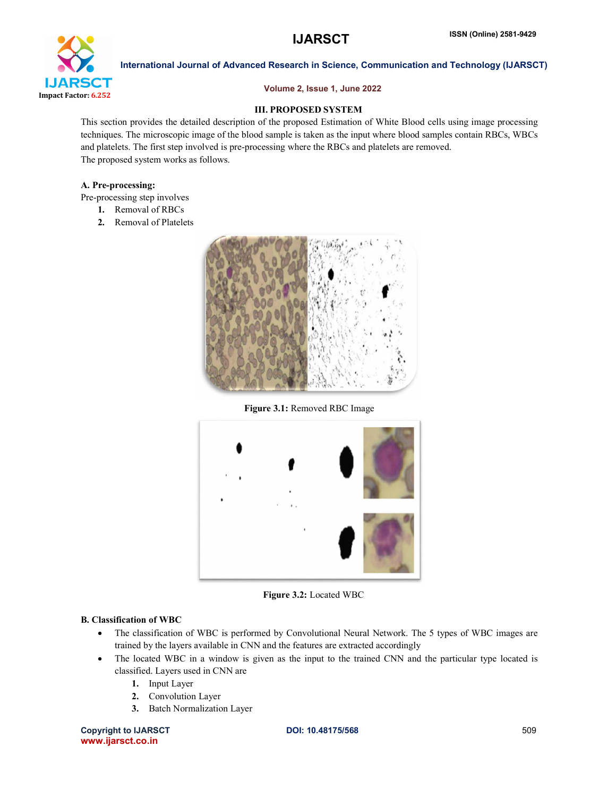

### Volume 2, Issue 1, June 2022

## III. PROPOSED SYSTEM

This section provides the detailed description of the proposed Estimation of White Blood cells using image processing techniques. The microscopic image of the blood sample is taken as the input where blood samples contain RBCs, WBCs and platelets. The first step involved is pre-processing where the RBCs and platelets are removed. The proposed system works as follows.

### A. Pre-processing:

- Pre-processing step involves
	- 1. Removal of RBCs
	- 2. Removal of Platelets



Figure 3.1: Removed RBC Image



Figure 3.2: Located WBC

## B. Classification of WBC

- The classification of WBC is performed by Convolutional Neural Network. The 5 types of WBC images are trained by the layers available in CNN and the features are extracted accordingly
- The located WBC in a window is given as the input to the trained CNN and the particular type located is classified. Layers used in CNN are
	- 1. Input Layer
	- 2. Convolution Layer
	- 3. Batch Normalization Layer

Copyright to IJARSCT **DOI: 10.48175/568** 509 www.ijarsct.co.in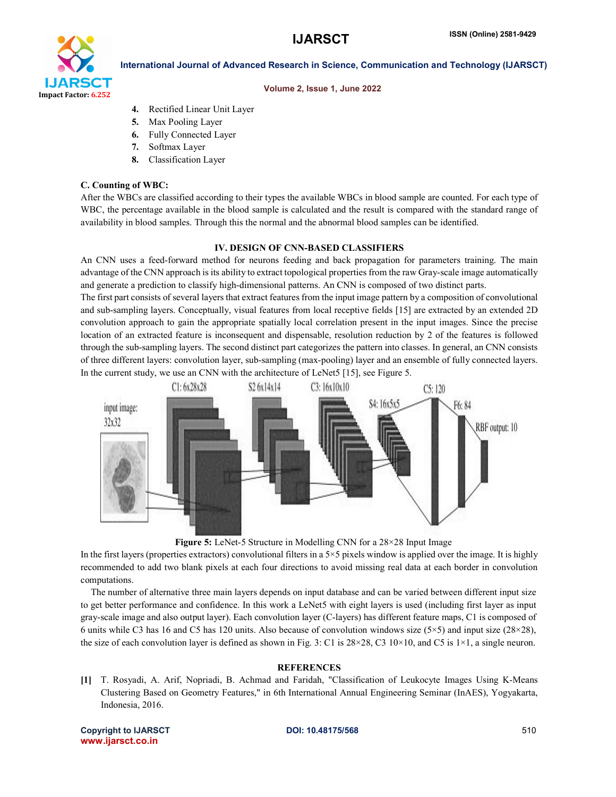

### Volume 2, Issue 1, June 2022

- 4. Rectified Linear Unit Layer
- 5. Max Pooling Layer
- 6. Fully Connected Layer
- 7. Softmax Layer
- 8. Classification Layer

### C. Counting of WBC:

After the WBCs are classified according to their types the available WBCs in blood sample are counted. For each type of WBC, the percentage available in the blood sample is calculated and the result is compared with the standard range of availability in blood samples. Through this the normal and the abnormal blood samples can be identified.

### IV. DESIGN OF CNN-BASED CLASSIFIERS

An CNN uses a feed-forward method for neurons feeding and back propagation for parameters training. The main advantage of the CNN approach is its ability to extract topological properties from the raw Gray-scale image automatically and generate a prediction to classify high-dimensional patterns. An CNN is composed of two distinct parts.

The first part consists of several layers that extract features from the input image pattern by a composition of convolutional and sub-sampling layers. Conceptually, visual features from local receptive fields [15] are extracted by an extended 2D convolution approach to gain the appropriate spatially local correlation present in the input images. Since the precise location of an extracted feature is inconsequent and dispensable, resolution reduction by 2 of the features is followed through the sub-sampling layers. The second distinct part categorizes the pattern into classes. In general, an CNN consists of three different layers: convolution layer, sub-sampling (max-pooling) layer and an ensemble of fully connected layers. In the current study, we use an CNN with the architecture of LeNet5 [15], see Figure 5.



Figure 5: LeNet-5 Structure in Modelling CNN for a 28×28 Input Image

In the first layers (properties extractors) convolutional filters in a  $5\times 5$  pixels window is applied over the image. It is highly recommended to add two blank pixels at each four directions to avoid missing real data at each border in convolution computations.

The number of alternative three main layers depends on input database and can be varied between different input size to get better performance and confidence. In this work a LeNet5 with eight layers is used (including first layer as input gray-scale image and also output layer). Each convolution layer (C-layers) has different feature maps, C1 is composed of 6 units while C3 has 16 and C5 has 120 units. Also because of convolution windows size  $(5\times5)$  and input size  $(28\times28)$ , the size of each convolution layer is defined as shown in Fig. 3: C1 is  $28 \times 28$ , C3  $10 \times 10$ , and C5 is  $1 \times 1$ , a single neuron.

## **REFERENCES**

[1] T. Rosyadi, A. Arif, Nopriadi, B. Achmad and Faridah, "Classification of Leukocyte Images Using K-Means Clustering Based on Geometry Features," in 6th International Annual Engineering Seminar (InAES), Yogyakarta, Indonesia, 2016.

Copyright to IJARSCT **DOI: 10.48175/568** 510 www.ijarsct.co.in